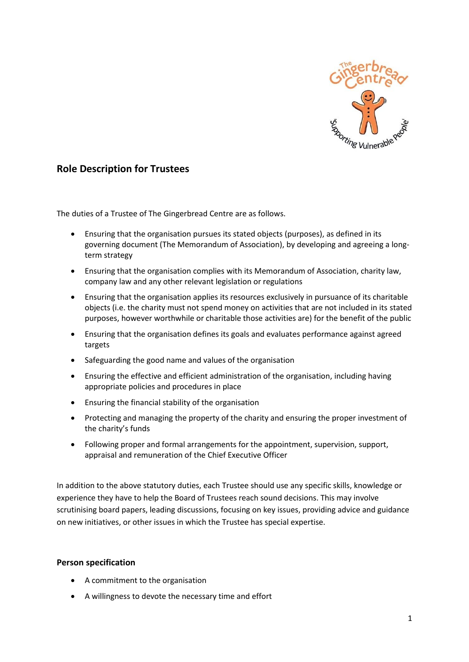

## **Role Description for Trustees**

The duties of a Trustee of The Gingerbread Centre are as follows.

- Ensuring that the organisation pursues its stated objects (purposes), as defined in its governing document (The Memorandum of Association), by developing and agreeing a longterm strategy
- Ensuring that the organisation complies with its Memorandum of Association, charity law, company law and any other relevant legislation or regulations
- Ensuring that the organisation applies its resources exclusively in pursuance of its charitable objects (i.e. the charity must not spend money on activities that are not included in its stated purposes, however worthwhile or charitable those activities are) for the benefit of the public
- Ensuring that the organisation defines its goals and evaluates performance against agreed targets
- Safeguarding the good name and values of the organisation
- Ensuring the effective and efficient administration of the organisation, including having appropriate policies and procedures in place
- Ensuring the financial stability of the organisation
- Protecting and managing the property of the charity and ensuring the proper investment of the charity's funds
- Following proper and formal arrangements for the appointment, supervision, support, appraisal and remuneration of the Chief Executive Officer

In addition to the above statutory duties, each Trustee should use any specific skills, knowledge or experience they have to help the Board of Trustees reach sound decisions. This may involve scrutinising board papers, leading discussions, focusing on key issues, providing advice and guidance on new initiatives, or other issues in which the Trustee has special expertise.

## **Person specification**

- A commitment to the organisation
- A willingness to devote the necessary time and effort